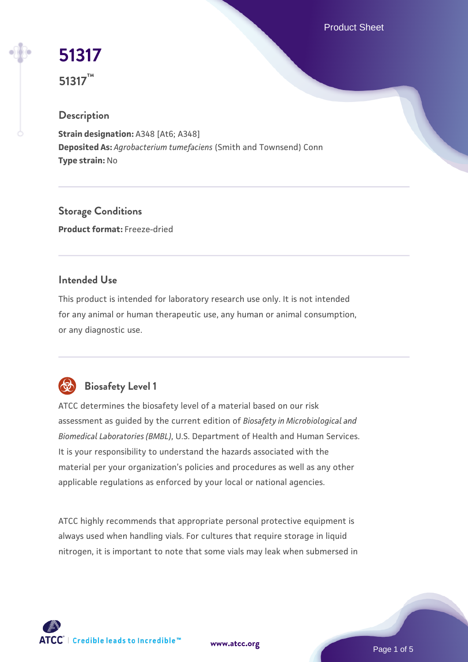Product Sheet

# **[51317](https://www.atcc.org/products/51317)**

**51317™**

# **Description**

**Strain designation: A348 [At6; A348] Deposited As:** *Agrobacterium tumefaciens* (Smith and Townsend) Conn **Type strain:** No

**Storage Conditions Product format:** Freeze-dried

# **Intended Use**

This product is intended for laboratory research use only. It is not intended for any animal or human therapeutic use, any human or animal consumption, or any diagnostic use.



# **Biosafety Level 1**

ATCC determines the biosafety level of a material based on our risk assessment as guided by the current edition of *Biosafety in Microbiological and Biomedical Laboratories (BMBL)*, U.S. Department of Health and Human Services. It is your responsibility to understand the hazards associated with the material per your organization's policies and procedures as well as any other applicable regulations as enforced by your local or national agencies.

ATCC highly recommends that appropriate personal protective equipment is always used when handling vials. For cultures that require storage in liquid nitrogen, it is important to note that some vials may leak when submersed in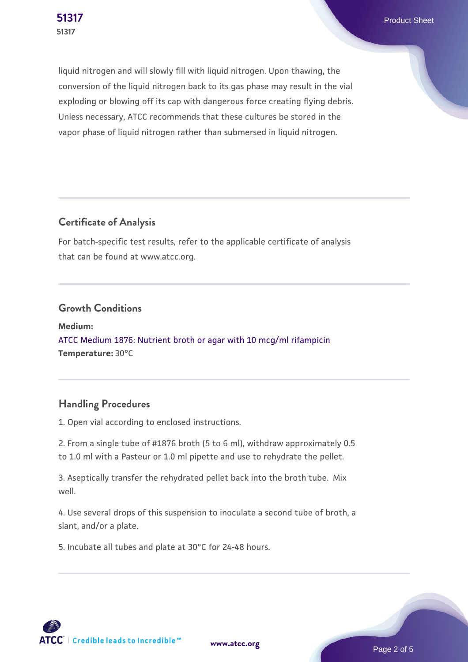**[51317](https://www.atcc.org/products/51317)** Product Sheet

liquid nitrogen and will slowly fill with liquid nitrogen. Upon thawing, the conversion of the liquid nitrogen back to its gas phase may result in the vial exploding or blowing off its cap with dangerous force creating flying debris. Unless necessary, ATCC recommends that these cultures be stored in the vapor phase of liquid nitrogen rather than submersed in liquid nitrogen.

# **Certificate of Analysis**

For batch-specific test results, refer to the applicable certificate of analysis that can be found at www.atcc.org.

#### **Growth Conditions**

**Medium:**  [ATCC Medium 1876: Nutrient broth or agar with 10 mcg/ml rifampicin](https://www.atcc.org/-/media/product-assets/documents/microbial-media-formulations/atcc-medium-1876.pdf?rev=f51da5c284b84c35b93089bb35c7f504) **Temperature:** 30°C

# **Handling Procedures**

1. Open vial according to enclosed instructions.

2. From a single tube of #1876 broth (5 to 6 ml), withdraw approximately 0.5 to 1.0 ml with a Pasteur or 1.0 ml pipette and use to rehydrate the pellet.

3. Aseptically transfer the rehydrated pellet back into the broth tube. Mix well.

4. Use several drops of this suspension to inoculate a second tube of broth, a slant, and/or a plate.

5. Incubate all tubes and plate at 30°C for 24-48 hours.

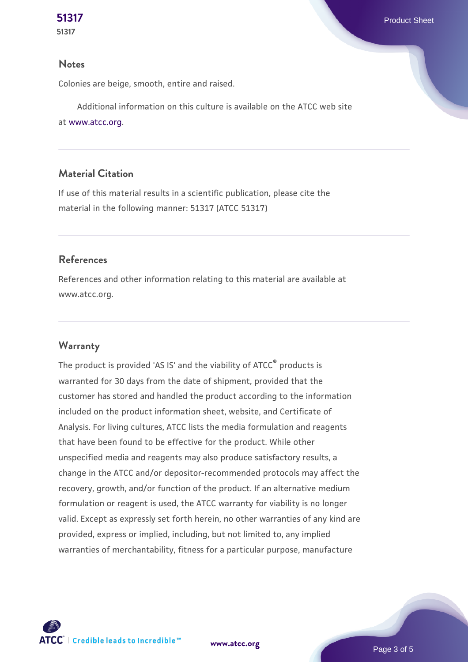#### **Notes**

Colonies are beige, smooth, entire and raised.

 Additional information on this culture is available on the ATCC web site at [www.atcc.org.](http://www.atcc.org/)

#### **Material Citation**

If use of this material results in a scientific publication, please cite the material in the following manner: 51317 (ATCC 51317)

#### **References**

References and other information relating to this material are available at www.atcc.org.

#### **Warranty**

The product is provided 'AS IS' and the viability of ATCC<sup>®</sup> products is warranted for 30 days from the date of shipment, provided that the customer has stored and handled the product according to the information included on the product information sheet, website, and Certificate of Analysis. For living cultures, ATCC lists the media formulation and reagents that have been found to be effective for the product. While other unspecified media and reagents may also produce satisfactory results, a change in the ATCC and/or depositor-recommended protocols may affect the recovery, growth, and/or function of the product. If an alternative medium formulation or reagent is used, the ATCC warranty for viability is no longer valid. Except as expressly set forth herein, no other warranties of any kind are provided, express or implied, including, but not limited to, any implied warranties of merchantability, fitness for a particular purpose, manufacture



**[www.atcc.org](http://www.atcc.org)**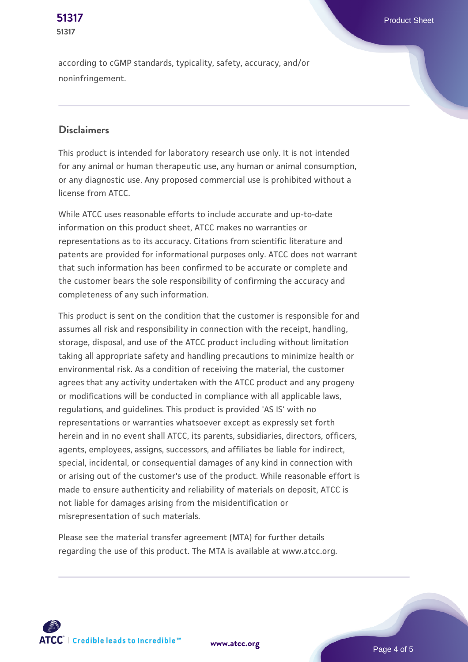according to cGMP standards, typicality, safety, accuracy, and/or

#### **Disclaimers**

noninfringement.

**51317**

This product is intended for laboratory research use only. It is not intended for any animal or human therapeutic use, any human or animal consumption, or any diagnostic use. Any proposed commercial use is prohibited without a license from ATCC.

While ATCC uses reasonable efforts to include accurate and up-to-date information on this product sheet, ATCC makes no warranties or representations as to its accuracy. Citations from scientific literature and patents are provided for informational purposes only. ATCC does not warrant that such information has been confirmed to be accurate or complete and the customer bears the sole responsibility of confirming the accuracy and completeness of any such information.

This product is sent on the condition that the customer is responsible for and assumes all risk and responsibility in connection with the receipt, handling, storage, disposal, and use of the ATCC product including without limitation taking all appropriate safety and handling precautions to minimize health or environmental risk. As a condition of receiving the material, the customer agrees that any activity undertaken with the ATCC product and any progeny or modifications will be conducted in compliance with all applicable laws, regulations, and guidelines. This product is provided 'AS IS' with no representations or warranties whatsoever except as expressly set forth herein and in no event shall ATCC, its parents, subsidiaries, directors, officers, agents, employees, assigns, successors, and affiliates be liable for indirect, special, incidental, or consequential damages of any kind in connection with or arising out of the customer's use of the product. While reasonable effort is made to ensure authenticity and reliability of materials on deposit, ATCC is not liable for damages arising from the misidentification or misrepresentation of such materials.

Please see the material transfer agreement (MTA) for further details regarding the use of this product. The MTA is available at www.atcc.org.